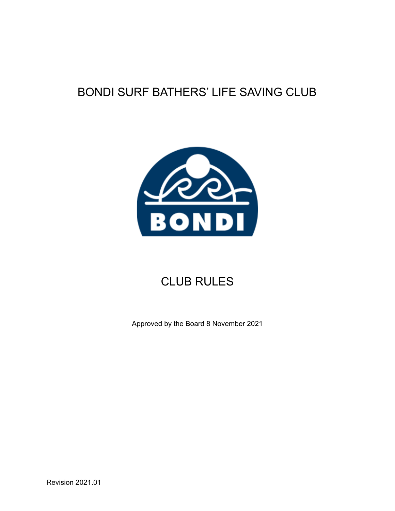# BONDI SURF BATHERS' LIFE SAVING CLUB



# CLUB RULES

Approved by the Board 8 November 2021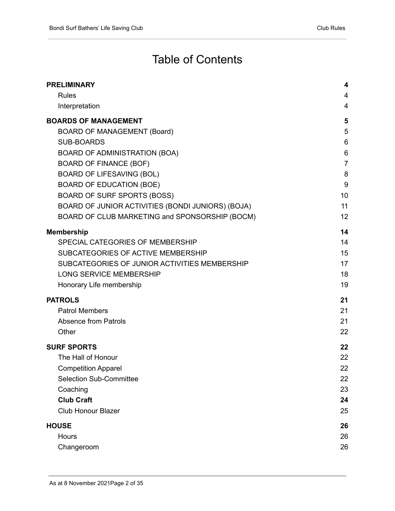# Table of Contents

| <b>PRELIMINARY</b>                                | 4              |
|---------------------------------------------------|----------------|
| <b>Rules</b>                                      | 4              |
| Interpretation                                    | 4              |
| <b>BOARDS OF MANAGEMENT</b>                       | 5              |
| <b>BOARD OF MANAGEMENT (Board)</b>                | 5              |
| <b>SUB-BOARDS</b>                                 | 6              |
| BOARD OF ADMINISTRATION (BOA)                     | $6\phantom{1}$ |
| <b>BOARD OF FINANCE (BOF)</b>                     | $\overline{7}$ |
| <b>BOARD OF LIFESAVING (BOL)</b>                  | 8              |
| <b>BOARD OF EDUCATION (BOE)</b>                   | 9              |
| <b>BOARD OF SURF SPORTS (BOSS)</b>                | 10             |
| BOARD OF JUNIOR ACTIVITIES (BONDI JUNIORS) (BOJA) | 11             |
| BOARD OF CLUB MARKETING and SPONSORSHIP (BOCM)    | 12             |
| <b>Membership</b>                                 | 14             |
| SPECIAL CATEGORIES OF MEMBERSHIP                  | 14             |
| SUBCATEGORIES OF ACTIVE MEMBERSHIP                | 15             |
| SUBCATEGORIES OF JUNIOR ACTIVITIES MEMBERSHIP     | 17             |
| <b>LONG SERVICE MEMBERSHIP</b>                    | 18             |
| Honorary Life membership                          | 19             |
| <b>PATROLS</b>                                    | 21             |
| <b>Patrol Members</b>                             | 21             |
| <b>Absence from Patrols</b>                       | 21             |
| Other                                             | 22             |
| <b>SURF SPORTS</b>                                | 22             |
| The Hall of Honour                                | 22             |
| <b>Competition Apparel</b>                        | 22             |
| <b>Selection Sub-Committee</b>                    | 22             |
| Coaching                                          | 23             |
| <b>Club Craft</b>                                 | 24             |
| <b>Club Honour Blazer</b>                         | 25             |
| <b>HOUSE</b>                                      | 26             |
| <b>Hours</b>                                      | 26             |
| Changeroom                                        | 26             |
|                                                   |                |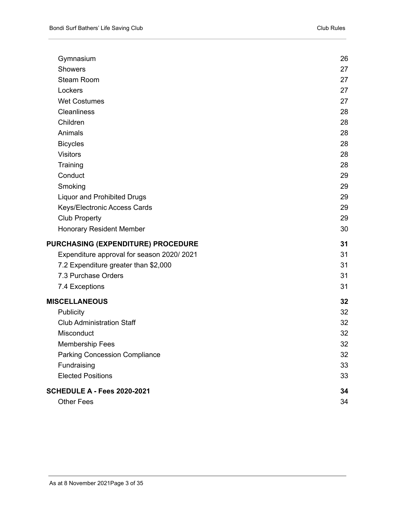| Gymnasium                                 | 26 |
|-------------------------------------------|----|
| <b>Showers</b>                            | 27 |
| <b>Steam Room</b>                         | 27 |
| Lockers                                   | 27 |
| <b>Wet Costumes</b>                       | 27 |
| <b>Cleanliness</b>                        | 28 |
| Children                                  | 28 |
| Animals                                   | 28 |
| <b>Bicycles</b>                           | 28 |
| <b>Visitors</b>                           | 28 |
| Training                                  | 28 |
| Conduct                                   | 29 |
| Smoking                                   | 29 |
| <b>Liquor and Prohibited Drugs</b>        | 29 |
| Keys/Electronic Access Cards              | 29 |
| <b>Club Property</b>                      | 29 |
| <b>Honorary Resident Member</b>           | 30 |
| <b>PURCHASING (EXPENDITURE) PROCEDURE</b> | 31 |
| Expenditure approval for season 2020/2021 | 31 |
| 7.2 Expenditure greater than \$2,000      | 31 |
| 7.3 Purchase Orders                       | 31 |
| 7.4 Exceptions                            | 31 |
| <b>MISCELLANEOUS</b>                      | 32 |
| Publicity                                 | 32 |
| <b>Club Administration Staff</b>          | 32 |
| Misconduct                                | 32 |
| <b>Membership Fees</b>                    | 32 |
| <b>Parking Concession Compliance</b>      | 32 |
| Fundraising                               | 33 |
| <b>Elected Positions</b>                  | 33 |
| <b>SCHEDULE A - Fees 2020-2021</b>        | 34 |
| <b>Other Fees</b>                         | 34 |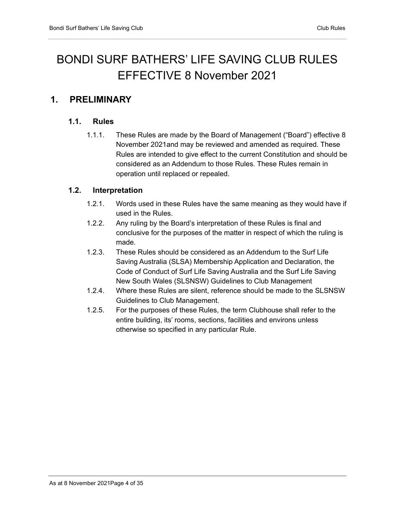# BONDI SURF BATHERS' LIFE SAVING CLUB RULES EFFECTIVE 8 November 2021

## <span id="page-3-1"></span><span id="page-3-0"></span>**1. PRELIMINARY**

#### **1.1. Rules**

1.1.1. These Rules are made by the Board of Management ("Board") effective 8 November 2021and may be reviewed and amended as required. These Rules are intended to give effect to the current Constitution and should be considered as an Addendum to those Rules. These Rules remain in operation until replaced or repealed.

#### <span id="page-3-2"></span>**1.2. Interpretation**

- 1.2.1. Words used in these Rules have the same meaning as they would have if used in the Rules.
- 1.2.2. Any ruling by the Board's interpretation of these Rules is final and conclusive for the purposes of the matter in respect of which the ruling is made.
- 1.2.3. These Rules should be considered as an Addendum to the Surf Life Saving Australia (SLSA) Membership Application and Declaration, the Code of Conduct of Surf Life Saving Australia and the Surf Life Saving New South Wales (SLSNSW) Guidelines to Club Management
- 1.2.4. Where these Rules are silent, reference should be made to the SLSNSW Guidelines to Club Management.
- 1.2.5. For the purposes of these Rules, the term Clubhouse shall refer to the entire building, its' rooms, sections, facilities and environs unless otherwise so specified in any particular Rule.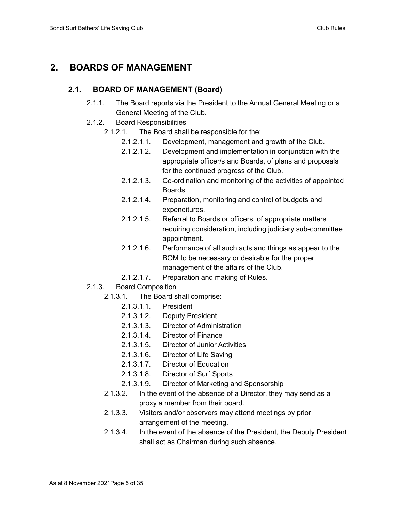## <span id="page-4-1"></span><span id="page-4-0"></span>**2. BOARDS OF MANAGEMENT**

#### **2.1. BOARD OF MANAGEMENT (Board)**

- 2.1.1. The Board reports via the President to the Annual General Meeting or a General Meeting of the Club.
- 2.1.2. Board Responsibilities
	- 2.1.2.1. The Board shall be responsible for the:
		- 2.1.2.1.1. Development, management and growth of the Club.
		- 2.1.2.1.2. Development and implementation in conjunction with the appropriate officer/s and Boards, of plans and proposals for the continued progress of the Club.
		- 2.1.2.1.3. Co-ordination and monitoring of the activities of appointed Boards.
		- 2.1.2.1.4. Preparation, monitoring and control of budgets and expenditures.
		- 2.1.2.1.5. Referral to Boards or officers, of appropriate matters requiring consideration, including judiciary sub-committee appointment.
		- 2.1.2.1.6. Performance of all such acts and things as appear to the BOM to be necessary or desirable for the proper management of the affairs of the Club.
		- 2.1.2.1.7. Preparation and making of Rules.
- 2.1.3. Board Composition
	- 2.1.3.1. The Board shall comprise:
		- 2.1.3.1.1. President
		- 2.1.3.1.2. Deputy President
		- 2.1.3.1.3. Director of Administration
		- 2.1.3.1.4. Director of Finance
		- 2.1.3.1.5. Director of Junior Activities
		- 2.1.3.1.6. Director of Life Saving
		- 2.1.3.1.7. Director of Education
		- 2.1.3.1.8. Director of Surf Sports
		- 2.1.3.1.9. Director of Marketing and Sponsorship
	- 2.1.3.2. In the event of the absence of a Director, they may send as a proxy a member from their board.
	- 2.1.3.3. Visitors and/or observers may attend meetings by prior arrangement of the meeting.
	- 2.1.3.4. In the event of the absence of the President, the Deputy President shall act as Chairman during such absence.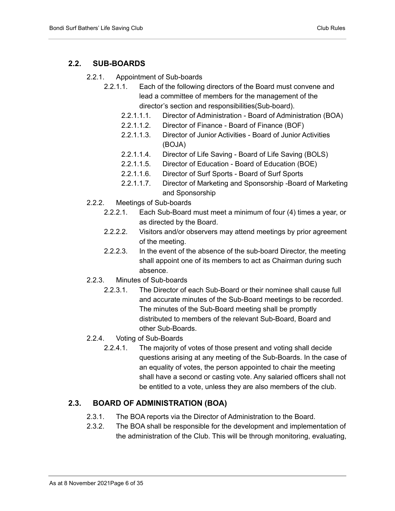#### <span id="page-5-0"></span>**2.2. SUB-BOARDS**

- 2.2.1. Appointment of Sub-boards
	- 2.2.1.1. Each of the following directors of the Board must convene and lead a committee of members for the management of the director's section and responsibilities(Sub-board).
		- 2.2.1.1.1. Director of Administration Board of Administration (BOA)
		- 2.2.1.1.2. Director of Finance Board of Finance (BOF)
		- 2.2.1.1.3. Director of Junior Activities Board of Junior Activities (BOJA)
		- 2.2.1.1.4. Director of Life Saving Board of Life Saving (BOLS)
		- 2.2.1.1.5. Director of Education Board of Education (BOE)
		- 2.2.1.1.6. Director of Surf Sports Board of Surf Sports
		- 2.2.1.1.7. Director of Marketing and Sponsorship -Board of Marketing and Sponsorship
- 2.2.2. Meetings of Sub-boards
	- 2.2.2.1. Each Sub-Board must meet a minimum of four (4) times a year, or as directed by the Board.
	- 2.2.2.2. Visitors and/or observers may attend meetings by prior agreement of the meeting.
	- 2.2.2.3. In the event of the absence of the sub-board Director, the meeting shall appoint one of its members to act as Chairman during such absence.
- 2.2.3. Minutes of Sub-boards
	- 2.2.3.1. The Director of each Sub-Board or their nominee shall cause full and accurate minutes of the Sub-Board meetings to be recorded. The minutes of the Sub-Board meeting shall be promptly distributed to members of the relevant Sub-Board, Board and other Sub-Boards.
- 2.2.4. Voting of Sub-Boards
	- 2.2.4.1. The majority of votes of those present and voting shall decide questions arising at any meeting of the Sub-Boards. In the case of an equality of votes, the person appointed to chair the meeting shall have a second or casting vote. Any salaried officers shall not be entitled to a vote, unless they are also members of the club.

#### <span id="page-5-1"></span>**2.3. BOARD OF ADMINISTRATION (BOA)**

- 2.3.1. The BOA reports via the Director of Administration to the Board.
- 2.3.2. The BOA shall be responsible for the development and implementation of the administration of the Club. This will be through monitoring, evaluating,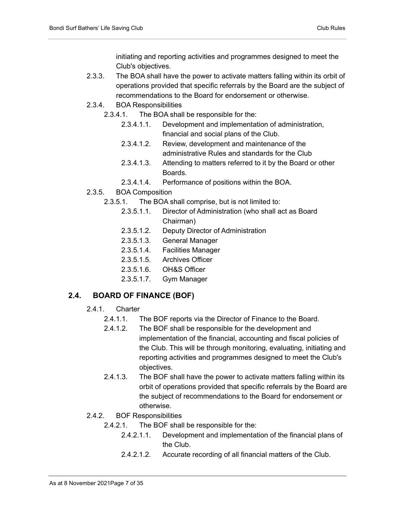initiating and reporting activities and programmes designed to meet the Club's objectives.

- 2.3.3. The BOA shall have the power to activate matters falling within its orbit of operations provided that specific referrals by the Board are the subject of recommendations to the Board for endorsement or otherwise.
- 2.3.4. BOA Responsibilities
	- 2.3.4.1. The BOA shall be responsible for the:
		- 2.3.4.1.1. Development and implementation of administration, financial and social plans of the Club.
		- 2.3.4.1.2. Review, development and maintenance of the administrative Rules and standards for the Club
		- 2.3.4.1.3. Attending to matters referred to it by the Board or other Boards.
		- 2.3.4.1.4. Performance of positions within the BOA.
- 2.3.5. BOA Composition
	- 2.3.5.1. The BOA shall comprise, but is not limited to:
		- 2.3.5.1.1. Director of Administration (who shall act as Board Chairman)
		- 2.3.5.1.2. Deputy Director of Administration
		- 2.3.5.1.3. General Manager
		- 2.3.5.1.4. Facilities Manager
		- 2.3.5.1.5. Archives Officer
		- 2.3.5.1.6. OH&S Officer
		- 2.3.5.1.7. Gym Manager

### <span id="page-6-0"></span>**2.4. BOARD OF FINANCE (BOF)**

- 2.4.1. Charter
	- 2.4.1.1. The BOF reports via the Director of Finance to the Board.
	- 2.4.1.2. The BOF shall be responsible for the development and implementation of the financial, accounting and fiscal policies of the Club. This will be through monitoring, evaluating, initiating and reporting activities and programmes designed to meet the Club's objectives.
	- 2.4.1.3. The BOF shall have the power to activate matters falling within its orbit of operations provided that specific referrals by the Board are the subject of recommendations to the Board for endorsement or otherwise.
- 2.4.2. BOF Responsibilities
	- 2.4.2.1. The BOF shall be responsible for the:
		- 2.4.2.1.1. Development and implementation of the financial plans of the Club.
		- 2.4.2.1.2. Accurate recording of all financial matters of the Club.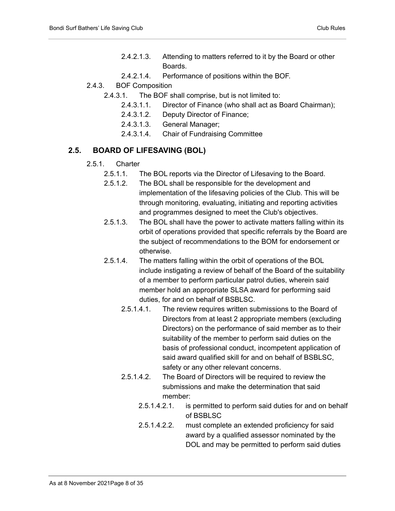- 2.4.2.1.3. Attending to matters referred to it by the Board or other Boards.
- 2.4.2.1.4. Performance of positions within the BOF.
- 2.4.3. BOF Composition
	- 2.4.3.1. The BOF shall comprise, but is not limited to:
		- 2.4.3.1.1. Director of Finance (who shall act as Board Chairman);
		- 2.4.3.1.2. Deputy Director of Finance;
		- 2.4.3.1.3. General Manager;
		- 2.4.3.1.4. Chair of Fundraising Committee

#### <span id="page-7-0"></span>**2.5. BOARD OF LIFESAVING (BOL)**

- 2.5.1. Charter
	- 2.5.1.1. The BOL reports via the Director of Lifesaving to the Board.
	- 2.5.1.2. The BOL shall be responsible for the development and implementation of the lifesaving policies of the Club. This will be through monitoring, evaluating, initiating and reporting activities and programmes designed to meet the Club's objectives.
	- 2.5.1.3. The BOL shall have the power to activate matters falling within its orbit of operations provided that specific referrals by the Board are the subject of recommendations to the BOM for endorsement or otherwise.
	- 2.5.1.4. The matters falling within the orbit of operations of the BOL include instigating a review of behalf of the Board of the suitability of a member to perform particular patrol duties, wherein said member hold an appropriate SLSA award for performing said duties, for and on behalf of BSBLSC.
		- 2.5.1.4.1. The review requires written submissions to the Board of Directors from at least 2 appropriate members (excluding Directors) on the performance of said member as to their suitability of the member to perform said duties on the basis of professional conduct, incompetent application of said award qualified skill for and on behalf of BSBLSC, safety or any other relevant concerns.
		- 2.5.1.4.2. The Board of Directors will be required to review the submissions and make the determination that said member:
			- 2.5.1.4.2.1. is permitted to perform said duties for and on behalf of BSBLSC
			- 2.5.1.4.2.2. must complete an extended proficiency for said award by a qualified assessor nominated by the DOL and may be permitted to perform said duties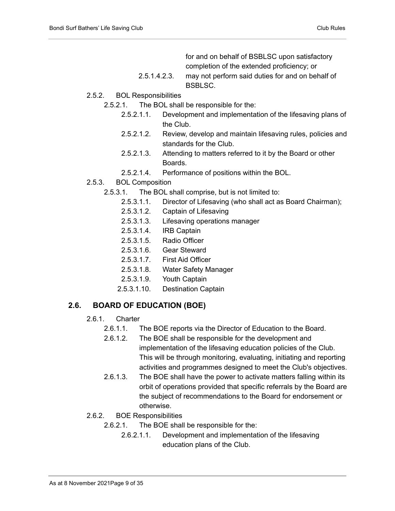for and on behalf of BSBLSC upon satisfactory completion of the extended proficiency; or

- 2.5.1.4.2.3. may not perform said duties for and on behalf of BSBLSC.
- 2.5.2. BOL Responsibilities
	- 2.5.2.1. The BOL shall be responsible for the:
		- 2.5.2.1.1. Development and implementation of the lifesaving plans of the Club.
		- 2.5.2.1.2. Review, develop and maintain lifesaving rules, policies and standards for the Club.
		- 2.5.2.1.3. Attending to matters referred to it by the Board or other Boards.
		- 2.5.2.1.4. Performance of positions within the BOL.
- 2.5.3. BOL Composition
	- 2.5.3.1. The BOL shall comprise, but is not limited to:
		- 2.5.3.1.1. Director of Lifesaving (who shall act as Board Chairman);
		- 2.5.3.1.2. Captain of Lifesaving
		- 2.5.3.1.3. Lifesaving operations manager
		- 2.5.3.1.4. IRB Captain
		- 2.5.3.1.5. Radio Officer
		- 2.5.3.1.6. Gear Steward
		- 2.5.3.1.7. First Aid Officer
		- 2.5.3.1.8. Water Safety Manager
		- 2.5.3.1.9. Youth Captain
		- 2.5.3.1.10. Destination Captain

#### <span id="page-8-0"></span>**2.6. BOARD OF EDUCATION (BOE)**

- 2.6.1. Charter
	- 2.6.1.1. The BOE reports via the Director of Education to the Board.
	- 2.6.1.2. The BOE shall be responsible for the development and implementation of the lifesaving education policies of the Club. This will be through monitoring, evaluating, initiating and reporting activities and programmes designed to meet the Club's objectives.
	- 2.6.1.3. The BOE shall have the power to activate matters falling within its orbit of operations provided that specific referrals by the Board are the subject of recommendations to the Board for endorsement or otherwise.
- 2.6.2. BOE Responsibilities
	- 2.6.2.1. The BOE shall be responsible for the:
		- 2.6.2.1.1. Development and implementation of the lifesaving education plans of the Club.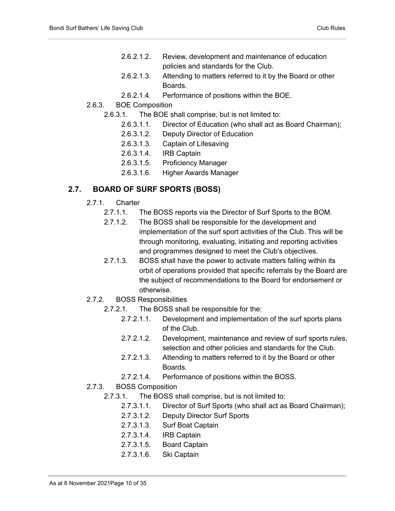- 2.6.2.1.2. Review, development and maintenance of education policies and standards for the Club.
- 2.6.2.1.3. Attending to matters referred to it by the Board or other Boards.
- 2.6.2.1.4. Performance of positions within the BOE.
- 2.6.3. BOE Composition
	- 2.6.3.1. The BOE shall comprise, but is not limited to:
		- 2.6.3.1.1. Director of Education (who shall act as Board Chairman);
		- 2.6.3.1.2. Deputy Director of Education
		- 2.6.3.1.3. Captain of Lifesaving
		- 2.6.3.1.4. IRB Captain
		- 2.6.3.1.5. Proficiency Manager
		- 2.6.3.1.6. Higher Awards Manager

#### <span id="page-9-0"></span>**2.7. BOARD OF SURF SPORTS (BOSS)**

- 2.7.1. Charter
	- 2.7.1.1. The BOSS reports via the Director of Surf Sports to the BOM.
	- 2.7.1.2. The BOSS shall be responsible for the development and implementation of the surf sport activities of the Club. This will be through monitoring, evaluating, initiating and reporting activities and programmes designed to meet the Club's objectives.
	- 2.7.1.3. BOSS shall have the power to activate matters falling within its orbit of operations provided that specific referrals by the Board are the subject of recommendations to the Board for endorsement or otherwise.
- 2.7.2. BOSS Responsibilities
	- 2.7.2.1. The BOSS shall be responsible for the:
		- 2.7.2.1.1. Development and implementation of the surf sports plans of the Club.
		- 2.7.2.1.2. Development, maintenance and review of surf sports rules, selection and other policies and standards for the Club.
		- 2.7.2.1.3. Attending to matters referred to it by the Board or other Boards.
		- 2.7.2.1.4. Performance of positions within the BOSS.
- 2.7.3. BOSS Composition
	- 2.7.3.1. The BOSS shall comprise, but is not limited to:
		- 2.7.3.1.1. Director of Surf Sports (who shall act as Board Chairman);
		- 2.7.3.1.2. Deputy Director Surf Sports
		- 2.7.3.1.3. Surf Boat Captain
		- 2.7.3.1.4. IRB Captain
		- 2.7.3.1.5. Board Captain
		- 2.7.3.1.6. Ski Captain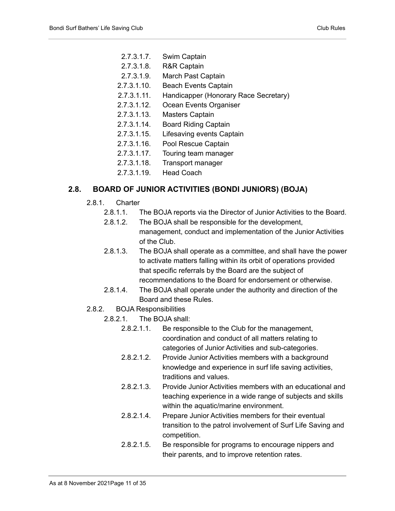- 2.7.3.1.7. Swim Captain
- 2.7.3.1.8. R&R Captain
- 2.7.3.1.9. March Past Captain
- 2.7.3.1.10. Beach Events Captain
- 2.7.3.1.11. Handicapper (Honorary Race Secretary)
- 2.7.3.1.12. Ocean Events Organiser
- 2.7.3.1.13. Masters Captain
- 2.7.3.1.14. Board Riding Captain
- 2.7.3.1.15. Lifesaving events Captain
- 2.7.3.1.16. Pool Rescue Captain
- 2.7.3.1.17. Touring team manager
- 2.7.3.1.18. Transport manager
- 2.7.3.1.19. Head Coach

#### <span id="page-10-0"></span>**2.8. BOARD OF JUNIOR ACTIVITIES (BONDI JUNIORS) (BOJA)**

- 2.8.1. Charter
	- 2.8.1.1. The BOJA reports via the Director of Junior Activities to the Board.
	- 2.8.1.2. The BOJA shall be responsible for the development, management, conduct and implementation of the Junior Activities of the Club.
	- 2.8.1.3. The BOJA shall operate as a committee, and shall have the power to activate matters falling within its orbit of operations provided that specific referrals by the Board are the subject of recommendations to the Board for endorsement or otherwise.
	- 2.8.1.4. The BOJA shall operate under the authority and direction of the Board and these Rules.
- 2.8.2. BOJA Responsibilities
	- 2.8.2.1. The BOJA shall:
		- 2.8.2.1.1. Be responsible to the Club for the management, coordination and conduct of all matters relating to categories of Junior Activities and sub-categories.
		- 2.8.2.1.2. Provide Junior Activities members with a background knowledge and experience in surf life saving activities, traditions and values.
		- 2.8.2.1.3. Provide Junior Activities members with an educational and teaching experience in a wide range of subjects and skills within the aquatic/marine environment.
		- 2.8.2.1.4. Prepare Junior Activities members for their eventual transition to the patrol involvement of Surf Life Saving and competition.
		- 2.8.2.1.5. Be responsible for programs to encourage nippers and their parents, and to improve retention rates.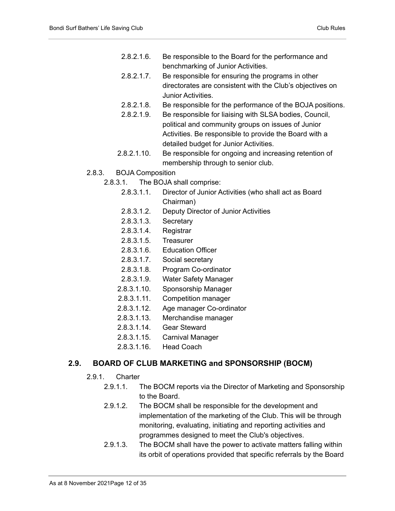- 2.8.2.1.6. Be responsible to the Board for the performance and benchmarking of Junior Activities.
- 2.8.2.1.7. Be responsible for ensuring the programs in other directorates are consistent with the Club's objectives on Junior Activities.
- 2.8.2.1.8. Be responsible for the performance of the BOJA positions.
- 2.8.2.1.9. Be responsible for liaising with SLSA bodies, Council, political and community groups on issues of Junior Activities. Be responsible to provide the Board with a detailed budget for Junior Activities.
- 2.8.2.1.10. Be responsible for ongoing and increasing retention of membership through to senior club.
- 2.8.3. BOJA Composition
	- 2.8.3.1. The BOJA shall comprise:
		- 2.8.3.1.1. Director of Junior Activities (who shall act as Board Chairman)
		- 2.8.3.1.2. Deputy Director of Junior Activities
		- 2.8.3.1.3. Secretary
		- 2.8.3.1.4. Registrar
		- 2.8.3.1.5. Treasurer
		- 2.8.3.1.6. Education Officer
		- 2.8.3.1.7. Social secretary
		- 2.8.3.1.8. Program Co-ordinator
		- 2.8.3.1.9. Water Safety Manager
		- 2.8.3.1.10. Sponsorship Manager
		- 2.8.3.1.11. Competition manager
		- 2.8.3.1.12. Age manager Co-ordinator
		- 2.8.3.1.13. Merchandise manager
		- 2.8.3.1.14. Gear Steward
		- 2.8.3.1.15. Carnival Manager
		- 2.8.3.1.16. Head Coach

#### <span id="page-11-0"></span>**2.9. BOARD OF CLUB MARKETING and SPONSORSHIP (BOCM)**

- 2.9.1. Charter
	- 2.9.1.1. The BOCM reports via the Director of Marketing and Sponsorship to the Board.
	- 2.9.1.2. The BOCM shall be responsible for the development and implementation of the marketing of the Club. This will be through monitoring, evaluating, initiating and reporting activities and programmes designed to meet the Club's objectives.
	- 2.9.1.3. The BOCM shall have the power to activate matters falling within its orbit of operations provided that specific referrals by the Board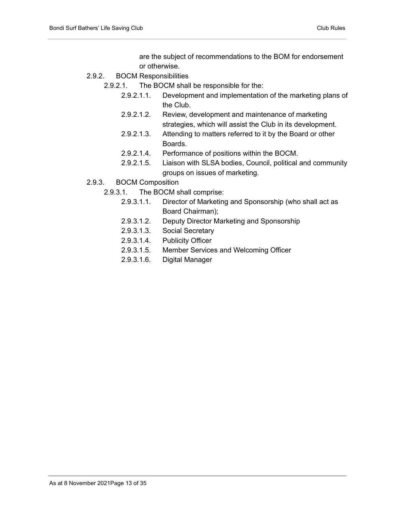are the subject of recommendations to the BOM for endorsement or otherwise.

- 2.9.2. BOCM Responsibilities
	- 2.9.2.1. The BOCM shall be responsible for the:
		- 2.9.2.1.1. Development and implementation of the marketing plans of the Club.
		- 2.9.2.1.2. Review, development and maintenance of marketing strategies, which will assist the Club in its development.
		- 2.9.2.1.3. Attending to matters referred to it by the Board or other Boards.
		- 2.9.2.1.4. Performance of positions within the BOCM.
		- 2.9.2.1.5. Liaison with SLSA bodies, Council, political and community groups on issues of marketing.
- 2.9.3. BOCM Composition
	- 2.9.3.1. The BOCM shall comprise:
		- 2.9.3.1.1. Director of Marketing and Sponsorship (who shall act as Board Chairman);
		- 2.9.3.1.2. Deputy Director Marketing and Sponsorship
		- 2.9.3.1.3. Social Secretary
		- 2.9.3.1.4. Publicity Officer
		- 2.9.3.1.5. Member Services and Welcoming Officer
		- 2.9.3.1.6. Digital Manager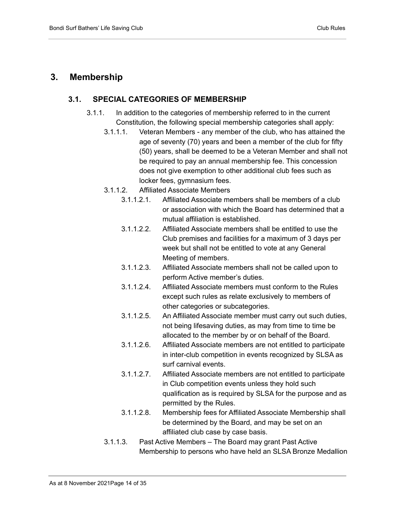### <span id="page-13-1"></span><span id="page-13-0"></span>**3. Membership**

#### **3.1. SPECIAL CATEGORIES OF MEMBERSHIP**

- 3.1.1. In addition to the categories of membership referred to in the current Constitution, the following special membership categories shall apply:
	- 3.1.1.1. Veteran Members any member of the club, who has attained the age of seventy (70) years and been a member of the club for fifty (50) years, shall be deemed to be a Veteran Member and shall not be required to pay an annual membership fee. This concession does not give exemption to other additional club fees such as locker fees, gymnasium fees.
	- 3.1.1.2. Affiliated Associate Members
		- 3.1.1.2.1. Affiliated Associate members shall be members of a club or association with which the Board has determined that a mutual affiliation is established.
		- 3.1.1.2.2. Affiliated Associate members shall be entitled to use the Club premises and facilities for a maximum of 3 days per week but shall not be entitled to vote at any General Meeting of members.
		- 3.1.1.2.3. Affiliated Associate members shall not be called upon to perform Active member's duties.
		- 3.1.1.2.4. Affiliated Associate members must conform to the Rules except such rules as relate exclusively to members of other categories or subcategories.
		- 3.1.1.2.5. An Affiliated Associate member must carry out such duties, not being lifesaving duties, as may from time to time be allocated to the member by or on behalf of the Board.
		- 3.1.1.2.6. Affiliated Associate members are not entitled to participate in inter-club competition in events recognized by SLSA as surf carnival events.
		- 3.1.1.2.7. Affiliated Associate members are not entitled to participate in Club competition events unless they hold such qualification as is required by SLSA for the purpose and as permitted by the Rules.
		- 3.1.1.2.8. Membership fees for Affiliated Associate Membership shall be determined by the Board, and may be set on an affiliated club case by case basis.
	- 3.1.1.3. Past Active Members The Board may grant Past Active Membership to persons who have held an SLSA Bronze Medallion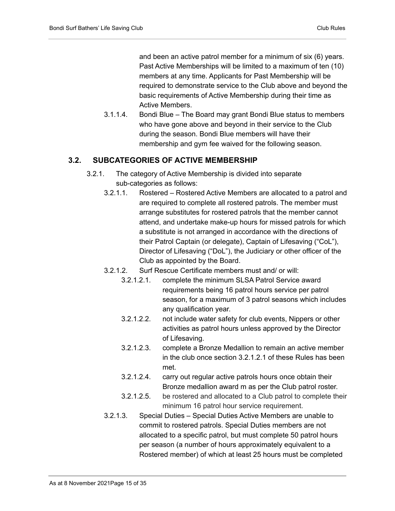and been an active patrol member for a minimum of six (6) years. Past Active Memberships will be limited to a maximum of ten (10) members at any time. Applicants for Past Membership will be required to demonstrate service to the Club above and beyond the basic requirements of Active Membership during their time as Active Members.

3.1.1.4. Bondi Blue – The Board may grant Bondi Blue status to members who have gone above and beyond in their service to the Club during the season. Bondi Blue members will have their membership and gym fee waived for the following season.

#### <span id="page-14-0"></span>**3.2. SUBCATEGORIES OF ACTIVE MEMBERSHIP**

- 3.2.1. The category of Active Membership is divided into separate sub-categories as follows:
	- 3.2.1.1. Rostered Rostered Active Members are allocated to a patrol and are required to complete all rostered patrols. The member must arrange substitutes for rostered patrols that the member cannot attend, and undertake make-up hours for missed patrols for which a substitute is not arranged in accordance with the directions of their Patrol Captain (or delegate), Captain of Lifesaving ("CoL"), Director of Lifesaving ("DoL"), the Judiciary or other officer of the Club as appointed by the Board.
	- 3.2.1.2. Surf Rescue Certificate members must and/ or will:
		- 3.2.1.2.1. complete the minimum SLSA Patrol Service award requirements being 16 patrol hours service per patrol season, for a maximum of 3 patrol seasons which includes any qualification year.
		- 3.2.1.2.2. not include water safety for club events, Nippers or other activities as patrol hours unless approved by the Director of Lifesaving.
		- 3.2.1.2.3. complete a Bronze Medallion to remain an active member in the club once section 3.2.1.2.1 of these Rules has been met.
		- 3.2.1.2.4. carry out regular active patrols hours once obtain their Bronze medallion award m as per the Club patrol roster.
		- 3.2.1.2.5. be rostered and allocated to a Club patrol to complete their minimum 16 patrol hour service requirement.
	- 3.2.1.3. Special Duties Special Duties Active Members are unable to commit to rostered patrols. Special Duties members are not allocated to a specific patrol, but must complete 50 patrol hours per season (a number of hours approximately equivalent to a Rostered member) of which at least 25 hours must be completed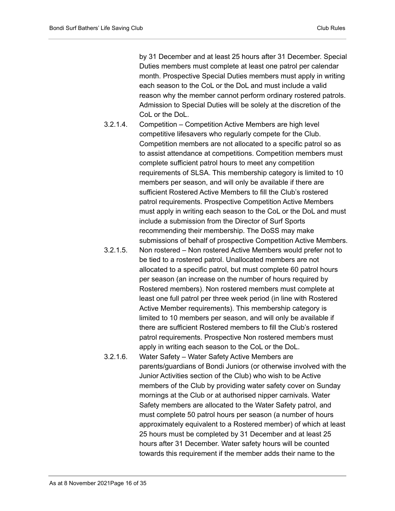by 31 December and at least 25 hours after 31 December. Special Duties members must complete at least one patrol per calendar month. Prospective Special Duties members must apply in writing each season to the CoL or the DoL and must include a valid reason why the member cannot perform ordinary rostered patrols. Admission to Special Duties will be solely at the discretion of the CoL or the DoL.

- 3.2.1.4. Competition Competition Active Members are high level competitive lifesavers who regularly compete for the Club. Competition members are not allocated to a specific patrol so as to assist attendance at competitions. Competition members must complete sufficient patrol hours to meet any competition requirements of SLSA. This membership category is limited to 10 members per season, and will only be available if there are sufficient Rostered Active Members to fill the Club's rostered patrol requirements. Prospective Competition Active Members must apply in writing each season to the CoL or the DoL and must include a submission from the Director of Surf Sports recommending their membership. The DoSS may make submissions of behalf of prospective Competition Active Members.
- 3.2.1.5. Non rostered Non rostered Active Members would prefer not to be tied to a rostered patrol. Unallocated members are not allocated to a specific patrol, but must complete 60 patrol hours per season (an increase on the number of hours required by Rostered members). Non rostered members must complete at least one full patrol per three week period (in line with Rostered Active Member requirements). This membership category is limited to 10 members per season, and will only be available if there are sufficient Rostered members to fill the Club's rostered patrol requirements. Prospective Non rostered members must apply in writing each season to the CoL or the DoL.
- 3.2.1.6. Water Safety Water Safety Active Members are parents/guardians of Bondi Juniors (or otherwise involved with the Junior Activities section of the Club) who wish to be Active members of the Club by providing water safety cover on Sunday mornings at the Club or at authorised nipper carnivals. Water Safety members are allocated to the Water Safety patrol, and must complete 50 patrol hours per season (a number of hours approximately equivalent to a Rostered member) of which at least 25 hours must be completed by 31 December and at least 25 hours after 31 December. Water safety hours will be counted towards this requirement if the member adds their name to the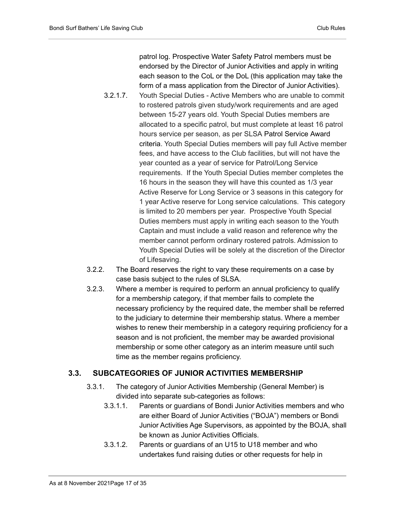patrol log. Prospective Water Safety Patrol members must be endorsed by the Director of Junior Activities and apply in writing each season to the CoL or the DoL (this application may take the form of a mass application from the Director of Junior Activities).

- 3.2.1.7. Youth Special Duties Active Members who are unable to commit to rostered patrols given study/work requirements and are aged between 15-27 years old. Youth Special Duties members are allocated to a specific patrol, but must complete at least 16 patrol hours service per season, as per SLSA Patrol Service Award criteria. Youth Special Duties members will pay full Active member fees, and have access to the Club facilities, but will not have the year counted as a year of service for Patrol/Long Service requirements. If the Youth Special Duties member completes the 16 hours in the season they will have this counted as 1/3 year Active Reserve for Long Service or 3 seasons in this category for 1 year Active reserve for Long service calculations. This category is limited to 20 members per year. Prospective Youth Special Duties members must apply in writing each season to the Youth Captain and must include a valid reason and reference why the member cannot perform ordinary rostered patrols. Admission to Youth Special Duties will be solely at the discretion of the Director of Lifesaving.
- 3.2.2. The Board reserves the right to vary these requirements on a case by case basis subject to the rules of SLSA.
- 3.2.3. Where a member is required to perform an annual proficiency to qualify for a membership category, if that member fails to complete the necessary proficiency by the required date, the member shall be referred to the judiciary to determine their membership status. Where a member wishes to renew their membership in a category requiring proficiency for a season and is not proficient, the member may be awarded provisional membership or some other category as an interim measure until such time as the member regains proficiency.

#### <span id="page-16-0"></span>**3.3. SUBCATEGORIES OF JUNIOR ACTIVITIES MEMBERSHIP**

- 3.3.1. The category of Junior Activities Membership (General Member) is divided into separate sub-categories as follows:
	- 3.3.1.1. Parents or guardians of Bondi Junior Activities members and who are either Board of Junior Activities ("BOJA") members or Bondi Junior Activities Age Supervisors, as appointed by the BOJA, shall be known as Junior Activities Officials.
	- 3.3.1.2. Parents or guardians of an U15 to U18 member and who undertakes fund raising duties or other requests for help in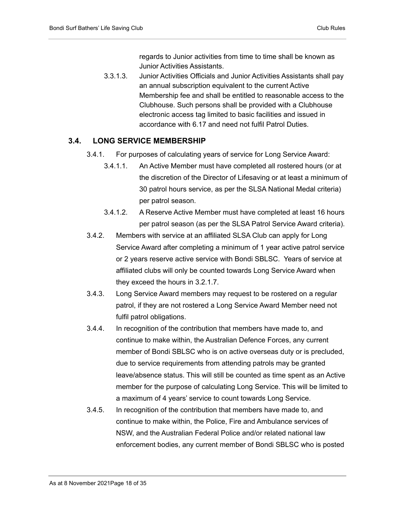regards to Junior activities from time to time shall be known as Junior Activities Assistants.

3.3.1.3. Junior Activities Officials and Junior Activities Assistants shall pay an annual subscription equivalent to the current Active Membership fee and shall be entitled to reasonable access to the Clubhouse. Such persons shall be provided with a Clubhouse electronic access tag limited to basic facilities and issued in accordance with 6.17 and need not fulfil Patrol Duties.

#### <span id="page-17-0"></span>**3.4. LONG SERVICE MEMBERSHIP**

- 3.4.1. For purposes of calculating years of service for Long Service Award:
	- 3.4.1.1. An Active Member must have completed all rostered hours (or at the discretion of the Director of Lifesaving or at least a minimum of 30 patrol hours service, as per the SLSA National Medal criteria) per patrol season.
	- 3.4.1.2. A Reserve Active Member must have completed at least 16 hours per patrol season (as per the SLSA Patrol Service Award criteria).
- 3.4.2. Members with service at an affiliated SLSA Club can apply for Long Service Award after completing a minimum of 1 year active patrol service or 2 years reserve active service with Bondi SBLSC. Years of service at affiliated clubs will only be counted towards Long Service Award when they exceed the hours in 3.2.1.7.
- 3.4.3. Long Service Award members may request to be rostered on a regular patrol, if they are not rostered a Long Service Award Member need not fulfil patrol obligations.
- 3.4.4. In recognition of the contribution that members have made to, and continue to make within, the Australian Defence Forces, any current member of Bondi SBLSC who is on active overseas duty or is precluded, due to service requirements from attending patrols may be granted leave/absence status. This will still be counted as time spent as an Active member for the purpose of calculating Long Service. This will be limited to a maximum of 4 years' service to count towards Long Service.
- 3.4.5. In recognition of the contribution that members have made to, and continue to make within, the Police, Fire and Ambulance services of NSW, and the Australian Federal Police and/or related national law enforcement bodies, any current member of Bondi SBLSC who is posted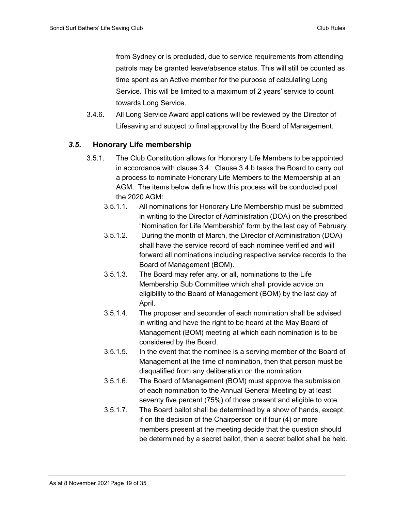from Sydney or is precluded, due to service requirements from attending patrols may be granted leave/absence status. This will still be counted as time spent as an Active member for the purpose of calculating Long Service. This will be limited to a maximum of 2 years' service to count towards Long Service.

3.4.6. All Long Service Award applications will be reviewed by the Director of Lifesaving and subject to final approval by the Board of Management.

#### <span id="page-18-0"></span>*3.5.* **Honorary Life membership**

- 3.5.1. The Club Constitution allows for Honorary Life Members to be appointed in accordance with clause 3.4. Clause 3.4.b tasks the Board to carry out a process to nominate Honorary Life Members to the Membership at an AGM. The items below define how this process will be conducted post the 2020 AGM:
	- 3.5.1.1. All nominations for Honorary Life Membership must be submitted in writing to the Director of Administration (DOA) on the prescribed "Nomination for Life Membership" form by the last day of February.
	- 3.5.1.2. During the month of March, the Director of Administration (DOA) shall have the service record of each nominee verified and will forward all nominations including respective service records to the Board of Management (BOM).
	- 3.5.1.3. The Board may refer any, or all, nominations to the Life Membership Sub Committee which shall provide advice on eligibility to the Board of Management (BOM) by the last day of April.
	- 3.5.1.4. The proposer and seconder of each nomination shall be advised in writing and have the right to be heard at the May Board of Management (BOM) meeting at which each nomination is to be considered by the Board.
	- 3.5.1.5. In the event that the nominee is a serving member of the Board of Management at the time of nomination, then that person must be disqualified from any deliberation on the nomination.
	- 3.5.1.6. The Board of Management (BOM) must approve the submission of each nomination to the Annual General Meeting by at least seventy five percent (75%) of those present and eligible to vote.
	- 3.5.1.7. The Board ballot shall be determined by a show of hands, except, if on the decision of the Chairperson or if four (4) or more members present at the meeting decide that the question should be determined by a secret ballot, then a secret ballot shall be held.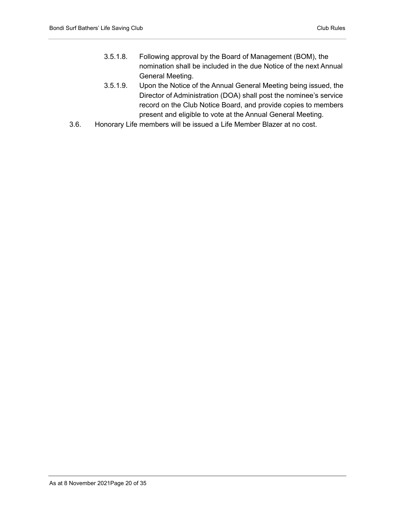- 3.5.1.8. Following approval by the Board of Management (BOM), the nomination shall be included in the due Notice of the next Annual General Meeting.
- 3.5.1.9. Upon the Notice of the Annual General Meeting being issued, the Director of Administration (DOA) shall post the nominee's service record on the Club Notice Board, and provide copies to members present and eligible to vote at the Annual General Meeting.
- 3.6. Honorary Life members will be issued a Life Member Blazer at no cost.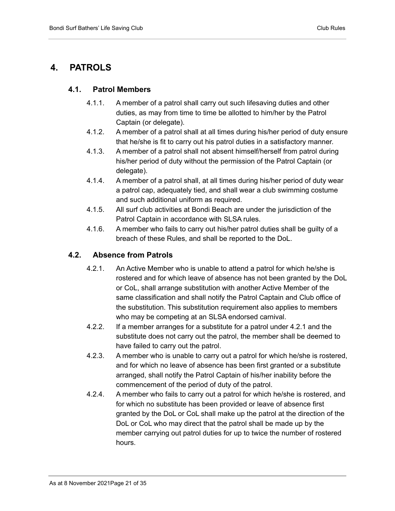## <span id="page-20-1"></span><span id="page-20-0"></span>**4. PATROLS**

#### **4.1. Patrol Members**

- 4.1.1. A member of a patrol shall carry out such lifesaving duties and other duties, as may from time to time be allotted to him/her by the Patrol Captain (or delegate).
- 4.1.2. A member of a patrol shall at all times during his/her period of duty ensure that he/she is fit to carry out his patrol duties in a satisfactory manner.
- 4.1.3. A member of a patrol shall not absent himself/herself from patrol during his/her period of duty without the permission of the Patrol Captain (or delegate).
- 4.1.4. A member of a patrol shall, at all times during his/her period of duty wear a patrol cap, adequately tied, and shall wear a club swimming costume and such additional uniform as required.
- 4.1.5. All surf club activities at Bondi Beach are under the jurisdiction of the Patrol Captain in accordance with SLSA rules.
- 4.1.6. A member who fails to carry out his/her patrol duties shall be guilty of a breach of these Rules, and shall be reported to the DoL.

#### <span id="page-20-2"></span>**4.2. Absence from Patrols**

- 4.2.1. An Active Member who is unable to attend a patrol for which he/she is rostered and for which leave of absence has not been granted by the DoL or CoL, shall arrange substitution with another Active Member of the same classification and shall notify the Patrol Captain and Club office of the substitution. This substitution requirement also applies to members who may be competing at an SLSA endorsed carnival.
- 4.2.2. If a member arranges for a substitute for a patrol under 4.2.1 and the substitute does not carry out the patrol, the member shall be deemed to have failed to carry out the patrol.
- 4.2.3. A member who is unable to carry out a patrol for which he/she is rostered, and for which no leave of absence has been first granted or a substitute arranged, shall notify the Patrol Captain of his/her inability before the commencement of the period of duty of the patrol.
- 4.2.4. A member who fails to carry out a patrol for which he/she is rostered, and for which no substitute has been provided or leave of absence first granted by the DoL or CoL shall make up the patrol at the direction of the DoL or CoL who may direct that the patrol shall be made up by the member carrying out patrol duties for up to twice the number of rostered hours.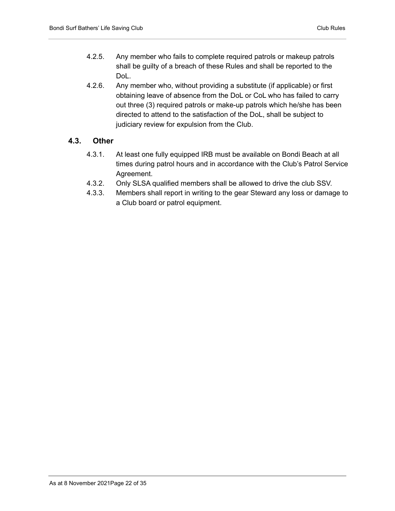- 4.2.5. Any member who fails to complete required patrols or makeup patrols shall be guilty of a breach of these Rules and shall be reported to the DoL.
- 4.2.6. Any member who, without providing a substitute (if applicable) or first obtaining leave of absence from the DoL or CoL who has failed to carry out three (3) required patrols or make-up patrols which he/she has been directed to attend to the satisfaction of the DoL, shall be subject to judiciary review for expulsion from the Club.

#### <span id="page-21-0"></span>**4.3. Other**

- 4.3.1. At least one fully equipped IRB must be available on Bondi Beach at all times during patrol hours and in accordance with the Club's Patrol Service Agreement.
- 4.3.2. Only SLSA qualified members shall be allowed to drive the club SSV.
- 4.3.3. Members shall report in writing to the gear Steward any loss or damage to a Club board or patrol equipment.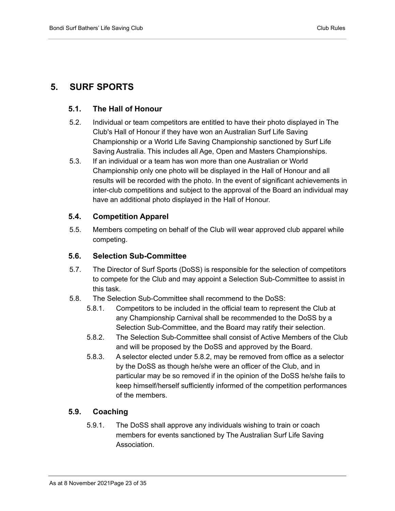### <span id="page-22-1"></span><span id="page-22-0"></span>**5. SURF SPORTS**

#### **5.1. The Hall of Honour**

- 5.2. Individual or team competitors are entitled to have their photo displayed in The Club's Hall of Honour if they have won an Australian Surf Life Saving Championship or a World Life Saving Championship sanctioned by Surf Life Saving Australia. This includes all Age, Open and Masters Championships.
- 5.3. If an individual or a team has won more than one Australian or World Championship only one photo will be displayed in the Hall of Honour and all results will be recorded with the photo. In the event of significant achievements in inter-club competitions and subject to the approval of the Board an individual may have an additional photo displayed in the Hall of Honour.

#### <span id="page-22-2"></span>**5.4. Competition Apparel**

5.5. Members competing on behalf of the Club will wear approved club apparel while competing.

#### <span id="page-22-3"></span>**5.6. Selection Sub-Committee**

- 5.7. The Director of Surf Sports (DoSS) is responsible for the selection of competitors to compete for the Club and may appoint a Selection Sub-Committee to assist in this task.
- 5.8. The Selection Sub-Committee shall recommend to the DoSS:
	- 5.8.1. Competitors to be included in the official team to represent the Club at any Championship Carnival shall be recommended to the DoSS by a Selection Sub-Committee, and the Board may ratify their selection.
	- 5.8.2. The Selection Sub-Committee shall consist of Active Members of the Club and will be proposed by the DoSS and approved by the Board.
	- 5.8.3. A selector elected under 5.8.2, may be removed from office as a selector by the DoSS as though he/she were an officer of the Club, and in particular may be so removed if in the opinion of the DoSS he/she fails to keep himself/herself sufficiently informed of the competition performances of the members.

#### <span id="page-22-4"></span>**5.9. Coaching**

5.9.1. The DoSS shall approve any individuals wishing to train or coach members for events sanctioned by The Australian Surf Life Saving Association.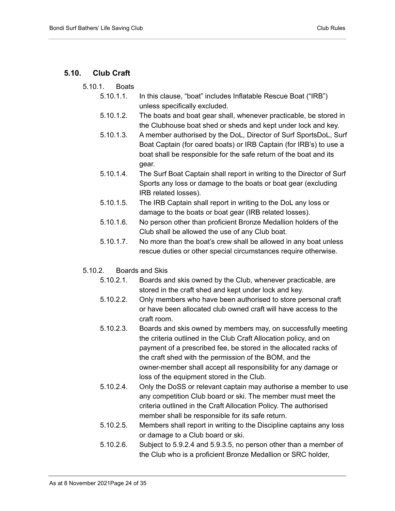#### <span id="page-23-0"></span>**5.10. Club Craft**

- 5.10.1. Boats
	- 5.10.1.1. In this clause, "boat" includes Inflatable Rescue Boat ("IRB") unless specifically excluded.
	- 5.10.1.2. The boats and boat gear shall, whenever practicable, be stored in the Clubhouse boat shed or sheds and kept under lock and key.
	- 5.10.1.3. A member authorised by the DoL, Director of Surf SportsDoL, Surf Boat Captain (for oared boats) or IRB Captain (for IRB's) to use a boat shall be responsible for the safe return of the boat and its gear.
	- 5.10.1.4. The Surf Boat Captain shall report in writing to the Director of Surf Sports any loss or damage to the boats or boat gear (excluding IRB related losses).
	- 5.10.1.5. The IRB Captain shall report in writing to the DoL any loss or damage to the boats or boat gear (IRB related losses).
	- 5.10.1.6. No person other than proficient Bronze Medallion holders of the Club shall be allowed the use of any Club boat.
	- 5.10.1.7. No more than the boat's crew shall be allowed in any boat unless rescue duties or other special circumstances require otherwise.
- 5.10.2. Boards and Skis
	- 5.10.2.1. Boards and skis owned by the Club, whenever practicable, are stored in the craft shed and kept under lock and key.
	- 5.10.2.2. Only members who have been authorised to store personal craft or have been allocated club owned craft will have access to the craft room.
	- 5.10.2.3. Boards and skis owned by members may, on successfully meeting the criteria outlined in the Club Craft Allocation policy, and on payment of a prescribed fee, be stored in the allocated racks of the craft shed with the permission of the BOM, and the owner-member shall accept all responsibility for any damage or loss of the equipment stored in the Club.
	- 5.10.2.4. Only the DoSS or relevant captain may authorise a member to use any competition Club board or ski. The member must meet the criteria outlined in the Craft Allocation Policy. The authorised member shall be responsible for its safe return.
	- 5.10.2.5. Members shall report in writing to the Discipline captains any loss or damage to a Club board or ski.
	- 5.10.2.6. Subject to 5.9.2.4 and 5.9.3.5, no person other than a member of the Club who is a proficient Bronze Medallion or SRC holder,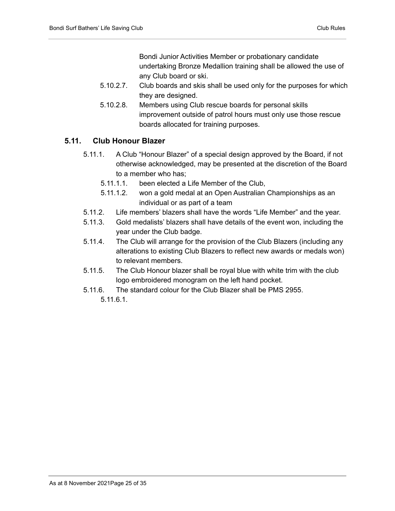Bondi Junior Activities Member or probationary candidate undertaking Bronze Medallion training shall be allowed the use of any Club board or ski.

- 5.10.2.7. Club boards and skis shall be used only for the purposes for which they are designed.
- 5.10.2.8. Members using Club rescue boards for personal skills improvement outside of patrol hours must only use those rescue boards allocated for training purposes.

#### <span id="page-24-0"></span>**5.11. Club Honour Blazer**

- 5.11.1. A Club "Honour Blazer" of a special design approved by the Board, if not otherwise acknowledged, may be presented at the discretion of the Board to a member who has;
	- 5.11.1.1. been elected a Life Member of the Club,
	- 5.11.1.2. won a gold medal at an Open Australian Championships as an individual or as part of a team
- 5.11.2. Life members' blazers shall have the words "Life Member" and the year.
- 5.11.3. Gold medalists' blazers shall have details of the event won, including the year under the Club badge.
- 5.11.4. The Club will arrange for the provision of the Club Blazers (including any alterations to existing Club Blazers to reflect new awards or medals won) to relevant members.
- 5.11.5. The Club Honour blazer shall be royal blue with white trim with the club logo embroidered monogram on the left hand pocket.
- 5.11.6. The standard colour for the Club Blazer shall be PMS 2955.

5.11.6.1.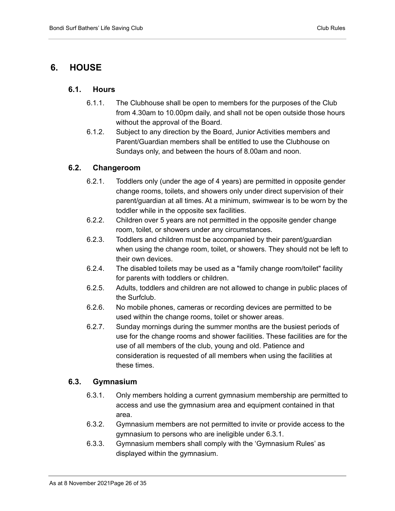### <span id="page-25-1"></span><span id="page-25-0"></span>**6. HOUSE**

#### **6.1. Hours**

- 6.1.1. The Clubhouse shall be open to members for the purposes of the Club from 4.30am to 10.00pm daily, and shall not be open outside those hours without the approval of the Board.
- 6.1.2. Subject to any direction by the Board, Junior Activities members and Parent/Guardian members shall be entitled to use the Clubhouse on Sundays only, and between the hours of 8.00am and noon.

#### <span id="page-25-2"></span>**6.2. Changeroom**

- 6.2.1. Toddlers only (under the age of 4 years) are permitted in opposite gender change rooms, toilets, and showers only under direct supervision of their parent/guardian at all times. At a minimum, swimwear is to be worn by the toddler while in the opposite sex facilities.
- 6.2.2. Children over 5 years are not permitted in the opposite gender change room, toilet, or showers under any circumstances.
- 6.2.3. Toddlers and children must be accompanied by their parent/guardian when using the change room, toilet, or showers. They should not be left to their own devices.
- 6.2.4. The disabled toilets may be used as a "family change room/toilet" facility for parents with toddlers or children.
- 6.2.5. Adults, toddlers and children are not allowed to change in public places of the Surfclub.
- 6.2.6. No mobile phones, cameras or recording devices are permitted to be used within the change rooms, toilet or shower areas.
- 6.2.7. Sunday mornings during the summer months are the busiest periods of use for the change rooms and shower facilities. These facilities are for the use of all members of the club, young and old. Patience and consideration is requested of all members when using the facilities at these times.

#### <span id="page-25-3"></span>**6.3. Gymnasium**

- 6.3.1. Only members holding a current gymnasium membership are permitted to access and use the gymnasium area and equipment contained in that area.
- 6.3.2. Gymnasium members are not permitted to invite or provide access to the gymnasium to persons who are ineligible under 6.3.1.
- 6.3.3. Gymnasium members shall comply with the 'Gymnasium Rules' as displayed within the gymnasium.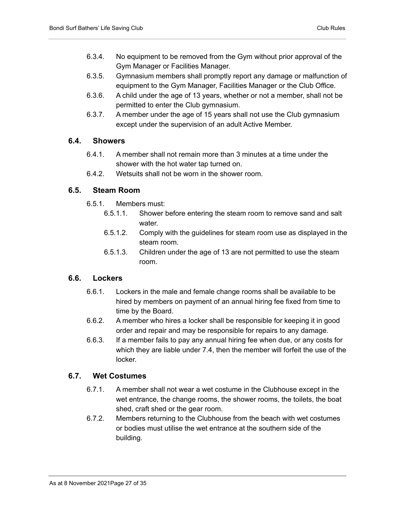- 6.3.4. No equipment to be removed from the Gym without prior approval of the Gym Manager or Facilities Manager.
- 6.3.5. Gymnasium members shall promptly report any damage or malfunction of equipment to the Gym Manager, Facilities Manager or the Club Office.
- 6.3.6. A child under the age of 13 years, whether or not a member, shall not be permitted to enter the Club gymnasium.
- 6.3.7. A member under the age of 15 years shall not use the Club gymnasium except under the supervision of an adult Active Member.

#### <span id="page-26-0"></span>**6.4. Showers**

- 6.4.1. A member shall not remain more than 3 minutes at a time under the shower with the hot water tap turned on.
- 6.4.2. Wetsuits shall not be worn in the shower room.

#### <span id="page-26-1"></span>**6.5. Steam Room**

- 6.5.1. Members must:
	- 6.5.1.1. Shower before entering the steam room to remove sand and salt water.
	- 6.5.1.2. Comply with the guidelines for steam room use as displayed in the steam room.
	- 6.5.1.3. Children under the age of 13 are not permitted to use the steam room.

#### <span id="page-26-2"></span>**6.6. Lockers**

- 6.6.1. Lockers in the male and female change rooms shall be available to be hired by members on payment of an annual hiring fee fixed from time to time by the Board.
- 6.6.2. A member who hires a locker shall be responsible for keeping it in good order and repair and may be responsible for repairs to any damage.
- 6.6.3. If a member fails to pay any annual hiring fee when due, or any costs for which they are liable under 7.4, then the member will forfeit the use of the locker.

#### <span id="page-26-3"></span>**6.7. Wet Costumes**

- 6.7.1. A member shall not wear a wet costume in the Clubhouse except in the wet entrance, the change rooms, the shower rooms, the toilets, the boat shed, craft shed or the gear room.
- 6.7.2. Members returning to the Clubhouse from the beach with wet costumes or bodies must utilise the wet entrance at the southern side of the building.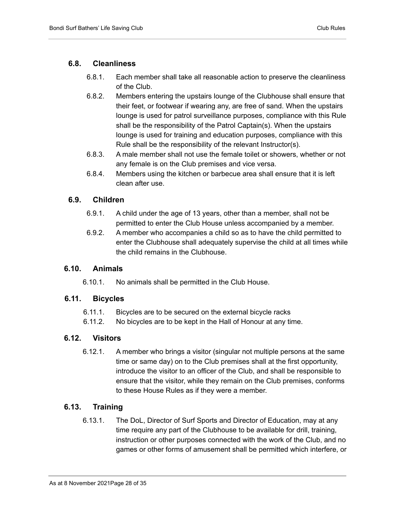#### <span id="page-27-0"></span>**6.8. Cleanliness**

- 6.8.1. Each member shall take all reasonable action to preserve the cleanliness of the Club.
- 6.8.2. Members entering the upstairs lounge of the Clubhouse shall ensure that their feet, or footwear if wearing any, are free of sand. When the upstairs lounge is used for patrol surveillance purposes, compliance with this Rule shall be the responsibility of the Patrol Captain(s). When the upstairs lounge is used for training and education purposes, compliance with this Rule shall be the responsibility of the relevant Instructor(s).
- 6.8.3. A male member shall not use the female toilet or showers, whether or not any female is on the Club premises and vice versa.
- 6.8.4. Members using the kitchen or barbecue area shall ensure that it is left clean after use.

#### <span id="page-27-1"></span>**6.9. Children**

- 6.9.1. A child under the age of 13 years, other than a member, shall not be permitted to enter the Club House unless accompanied by a member.
- 6.9.2. A member who accompanies a child so as to have the child permitted to enter the Clubhouse shall adequately supervise the child at all times while the child remains in the Clubhouse.

#### <span id="page-27-2"></span>**6.10. Animals**

6.10.1. No animals shall be permitted in the Club House.

#### <span id="page-27-3"></span>**6.11. Bicycles**

- 6.11.1. Bicycles are to be secured on the external bicycle racks
- 6.11.2. No bicycles are to be kept in the Hall of Honour at any time.

#### <span id="page-27-4"></span>**6.12. Visitors**

6.12.1. A member who brings a visitor (singular not multiple persons at the same time or same day) on to the Club premises shall at the first opportunity, introduce the visitor to an officer of the Club, and shall be responsible to ensure that the visitor, while they remain on the Club premises, conforms to these House Rules as if they were a member.

#### <span id="page-27-5"></span>**6.13. Training**

6.13.1. The DoL, Director of Surf Sports and Director of Education, may at any time require any part of the Clubhouse to be available for drill, training, instruction or other purposes connected with the work of the Club, and no games or other forms of amusement shall be permitted which interfere, or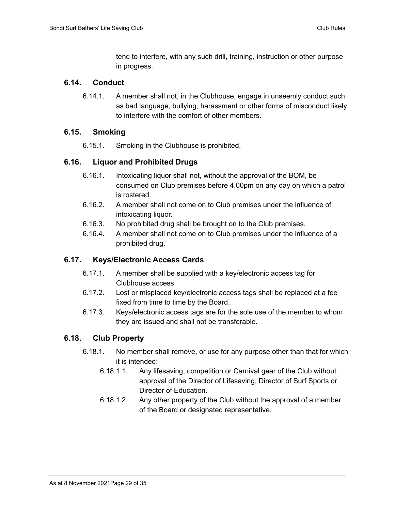tend to interfere, with any such drill, training, instruction or other purpose in progress.

#### <span id="page-28-0"></span>**6.14. Conduct**

6.14.1. A member shall not, in the Clubhouse, engage in unseemly conduct such as bad language, bullying, harassment or other forms of misconduct likely to interfere with the comfort of other members.

#### <span id="page-28-1"></span>**6.15. Smoking**

6.15.1. Smoking in the Clubhouse is prohibited.

#### <span id="page-28-2"></span>**6.16. Liquor and Prohibited Drugs**

- 6.16.1. Intoxicating liquor shall not, without the approval of the BOM, be consumed on Club premises before 4.00pm on any day on which a patrol is rostered.
- 6.16.2. A member shall not come on to Club premises under the influence of intoxicating liquor.
- 6.16.3. No prohibited drug shall be brought on to the Club premises.
- 6.16.4. A member shall not come on to Club premises under the influence of a prohibited drug.

#### <span id="page-28-3"></span>**6.17. Keys/Electronic Access Cards**

- 6.17.1. A member shall be supplied with a key/electronic access tag for Clubhouse access.
- 6.17.2. Lost or misplaced key/electronic access tags shall be replaced at a fee fixed from time to time by the Board.
- 6.17.3. Keys/electronic access tags are for the sole use of the member to whom they are issued and shall not be transferable.

#### <span id="page-28-4"></span>**6.18. Club Property**

- 6.18.1. No member shall remove, or use for any purpose other than that for which it is intended:
	- 6.18.1.1. Any lifesaving, competition or Carnival gear of the Club without approval of the Director of Lifesaving, Director of Surf Sports or Director of Education.
	- 6.18.1.2. Any other property of the Club without the approval of a member of the Board or designated representative.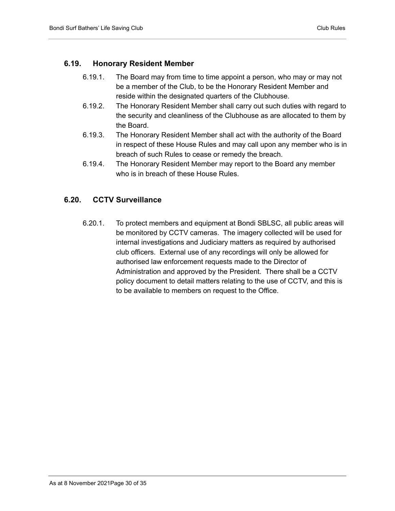#### <span id="page-29-0"></span>**6.19. Honorary Resident Member**

- 6.19.1. The Board may from time to time appoint a person, who may or may not be a member of the Club, to be the Honorary Resident Member and reside within the designated quarters of the Clubhouse.
- 6.19.2. The Honorary Resident Member shall carry out such duties with regard to the security and cleanliness of the Clubhouse as are allocated to them by the Board.
- 6.19.3. The Honorary Resident Member shall act with the authority of the Board in respect of these House Rules and may call upon any member who is in breach of such Rules to cease or remedy the breach.
- 6.19.4. The Honorary Resident Member may report to the Board any member who is in breach of these House Rules.

#### **6.20. CCTV Surveillance**

6.20.1. To protect members and equipment at Bondi SBLSC, all public areas will be monitored by CCTV cameras. The imagery collected will be used for internal investigations and Judiciary matters as required by authorised club officers. External use of any recordings will only be allowed for authorised law enforcement requests made to the Director of Administration and approved by the President. There shall be a CCTV policy document to detail matters relating to the use of CCTV, and this is to be available to members on request to the Office.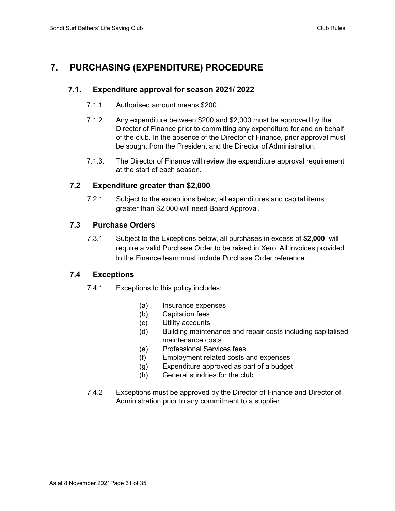# <span id="page-30-1"></span><span id="page-30-0"></span>**7. PURCHASING (EXPENDITURE) PROCEDURE**

#### **7.1. Expenditure approval for season 2021/ 2022**

- 7.1.1. Authorised amount means \$200.
- 7.1.2. Any expenditure between \$200 and \$2,000 must be approved by the Director of Finance prior to committing any expenditure for and on behalf of the club. In the absence of the Director of Finance, prior approval must be sought from the President and the Director of Administration.
- 7.1.3. The Director of Finance will review the expenditure approval requirement at the start of each season.

#### <span id="page-30-2"></span>**7.2 Expenditure greater than \$2,000**

7.2.1 Subject to the exceptions below, all expenditures and capital items greater than \$2,000 will need Board Approval.

#### <span id="page-30-3"></span>**7.3 Purchase Orders**

7.3.1 Subject to the Exceptions below, all purchases in excess of **\$2,000** will require a valid Purchase Order to be raised in Xero. All invoices provided to the Finance team must include Purchase Order reference.

#### <span id="page-30-4"></span>**7.4 Exceptions**

- 7.4.1 Exceptions to this policy includes:
	- (a) Insurance expenses
	- (b) Capitation fees
	- (c) Utility accounts
	- (d) Building maintenance and repair costs including capitalised maintenance costs
	- (e) Professional Services fees
	- (f) Employment related costs and expenses
	- (g) Expenditure approved as part of a budget
	- (h) General sundries for the club
- 7.4.2 Exceptions must be approved by the Director of Finance and Director of Administration prior to any commitment to a supplier.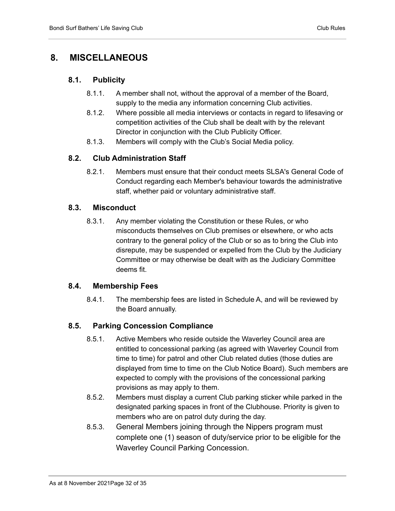# <span id="page-31-1"></span><span id="page-31-0"></span>**8. MISCELLANEOUS**

#### **8.1. Publicity**

- 8.1.1. A member shall not, without the approval of a member of the Board, supply to the media any information concerning Club activities.
- 8.1.2. Where possible all media interviews or contacts in regard to lifesaving or competition activities of the Club shall be dealt with by the relevant Director in conjunction with the Club Publicity Officer.
- 8.1.3. Members will comply with the Club's Social Media policy.

#### <span id="page-31-2"></span>**8.2. Club Administration Staff**

8.2.1. Members must ensure that their conduct meets SLSA's General Code of Conduct regarding each Member's behaviour towards the administrative staff, whether paid or voluntary administrative staff.

#### <span id="page-31-3"></span>**8.3. Misconduct**

8.3.1. Any member violating the Constitution or these Rules, or who misconducts themselves on Club premises or elsewhere, or who acts contrary to the general policy of the Club or so as to bring the Club into disrepute, may be suspended or expelled from the Club by the Judiciary Committee or may otherwise be dealt with as the Judiciary Committee deems fit.

#### <span id="page-31-4"></span>**8.4. Membership Fees**

8.4.1. The membership fees are listed in Schedule A, and will be reviewed by the Board annually.

#### <span id="page-31-5"></span>**8.5. Parking Concession Compliance**

- 8.5.1. Active Members who reside outside the Waverley Council area are entitled to concessional parking (as agreed with Waverley Council from time to time) for patrol and other Club related duties (those duties are displayed from time to time on the Club Notice Board). Such members are expected to comply with the provisions of the concessional parking provisions as may apply to them.
- 8.5.2. Members must display a current Club parking sticker while parked in the designated parking spaces in front of the Clubhouse. Priority is given to members who are on patrol duty during the day.
- 8.5.3. General Members joining through the Nippers program must complete one (1) season of duty/service prior to be eligible for the Waverley Council Parking Concession.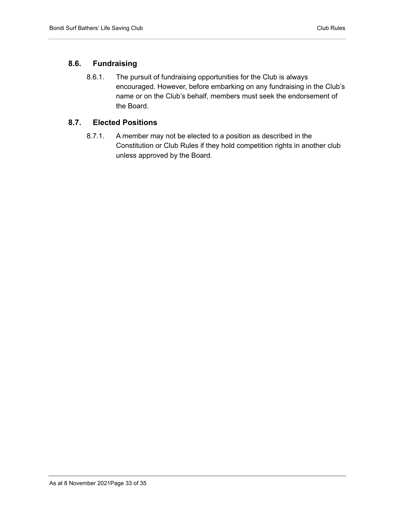#### <span id="page-32-0"></span>**8.6. Fundraising**

8.6.1. The pursuit of fundraising opportunities for the Club is always encouraged. However, before embarking on any fundraising in the Club's name or on the Club's behalf, members must seek the endorsement of the Board.

#### <span id="page-32-1"></span>**8.7. Elected Positions**

8.7.1. A member may not be elected to a position as described in the Constitution or Club Rules if they hold competition rights in another club unless approved by the Board.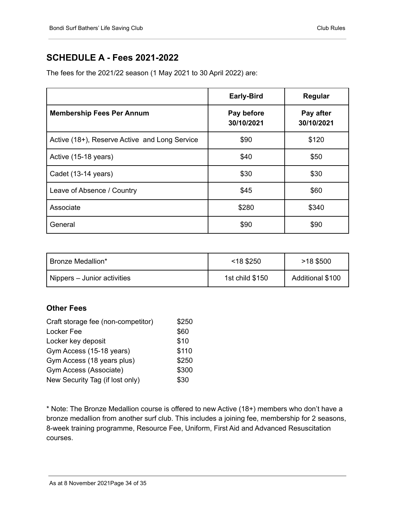# <span id="page-33-0"></span>**SCHEDULE A - Fees 2021-2022**

The fees for the 2021/22 season (1 May 2021 to 30 April 2022) are:

|                                               | <b>Early-Bird</b>        | Regular                 |
|-----------------------------------------------|--------------------------|-------------------------|
| <b>Membership Fees Per Annum</b>              | Pay before<br>30/10/2021 | Pay after<br>30/10/2021 |
| Active (18+), Reserve Active and Long Service | \$90                     | \$120                   |
| Active (15-18 years)                          | \$40                     | \$50                    |
| Cadet (13-14 years)                           | \$30                     | \$30                    |
| Leave of Absence / Country                    | \$45                     | \$60                    |
| Associate                                     | \$280                    | \$340                   |
| General                                       | \$90                     | \$90                    |

| Bronze Medallion*           | $<$ 18 \$250    | $>18$ \$500      |
|-----------------------------|-----------------|------------------|
| Nippers – Junior activities | 1st child \$150 | Additional \$100 |

#### <span id="page-33-1"></span>**Other Fees**

| \$250 |
|-------|
| \$60  |
| \$10  |
| \$110 |
| \$250 |
| \$300 |
| \$30  |
|       |

\* Note: The Bronze Medallion course is offered to new Active (18+) members who don't have a bronze medallion from another surf club. This includes a joining fee, membership for 2 seasons, 8-week training programme, Resource Fee, Uniform, First Aid and Advanced Resuscitation courses.